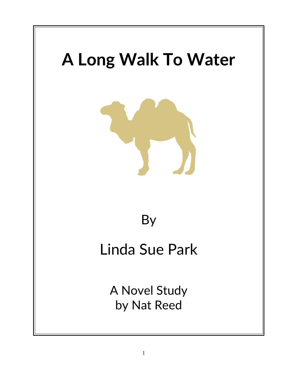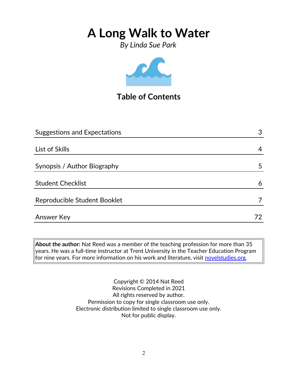*By Linda Sue Park*



## **Table of Contents**

| Answer Key                          | 72 |
|-------------------------------------|----|
| Reproducible Student Booklet        |    |
| <b>Student Checklist</b>            | 6  |
| Synopsis / Author Biography         | 5  |
| List of Skills                      | 4  |
| <b>Suggestions and Expectations</b> | 3  |
|                                     |    |

**About the author:** Nat Reed was a member of the teaching profession for more than 35 years. He was a full-time instructor at Trent University in the Teacher Education Program for nine years. For more information on his work and literature, visit [novelstudies.org.](http://www.novelstudies.org/)

> Copyright © 2014 Nat Reed Revisions Completed in 2021 All rights reserved by author. Permission to copy for single classroom use only. Electronic distribution limited to single classroom use only. Not for public display.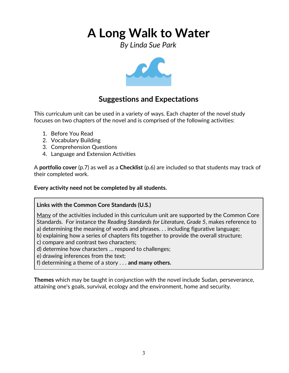*By Linda Sue Park*



### **Suggestions and Expectations**

This curriculum unit can be used in a variety of ways. Each chapter of the novel study focuses on two chapters of the novel and is comprised of the following activities:

- 1. Before You Read
- 2. Vocabulary Building
- 3. Comprehension Questions
- 4. Language and Extension Activities

A **portfolio cover** (p.7) as well as a **Checklist** (p.6) are included so that students may track of their completed work.

**Every activity need not be completed by all students.** 

### **Links with the Common Core Standards (U.S.)**

Many of the activities included in this curriculum unit are supported by the Common Core Standards. For instance the *Reading Standards for Literature, Grade 5*, makes reference to a) determining the meaning of words and phrases. . . including figurative language;

- b) explaining how a series of chapters fits together to provide the overall structure;
- c) compare and contrast two characters;
- d) determine how characters … respond to challenges;
- e) drawing inferences from the text;
- f) determining a theme of a story . . . **and many others.**

**Themes** which may be taught in conjunction with the novel include Sudan, perseverance, attaining one's goals, survival, ecology and the environment, home and security.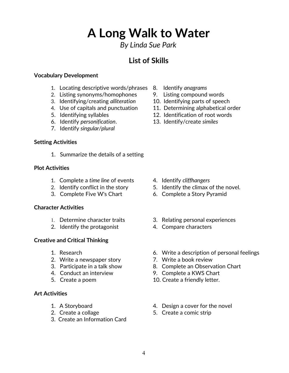*By Linda Sue Park*

### **List of Skills**

#### **Vocabulary Development**

- 1. Locating descriptive words/phrases 8. Identify *anagrams*
- 2. Listing synonyms/homophones 9. Listing compound words
- 3. Identifying/creating *alliteration* 10. Identifying parts of speech
- 
- 
- 
- 7. Identify *singular/plural*

#### **Setting Activities**

1. Summarize the details of a setting

#### **Plot Activities**

- 1. Complete a *time line* of events 4. Identify *cliffhangers*
- 
- 

### **Character Activities**

- 
- 2. Identify the protagonist 4. Compare characters

### **Creative and Critical Thinking**

- 
- 2. Write a newspaper story **7. Write a book review**
- 
- 
- 

#### **Art Activities**

- 
- 
- 3. Create an Information Card
- 
- 
- 
- 4. Use of capitals and punctuation 11. Determining alphabetical order
- 5. Identifying syllables 12. Identification of root words
- 6. Identify *personification*. 13. Identify/create *similes*

- 
- 2. Identify conflict in the story 5. Identify the climax of the novel.
- 3. Complete Five W's Chart 6. Complete a Story Pyramid
- 1. Determine character traits 3. Relating personal experiences
	-
- 1. Research 6. Write a description of personal feelings
	-
- 3. Participate in a talk show 8. Complete an Observation Chart
- 4. Conduct an interview 9. Complete a KWS Chart
- 5. Create a poem 10. Create a friendly letter.
- 1. A Storyboard **1.** A Storyboard **1.** A Storyboard
- 2. Create a collage 5. Create a comic strip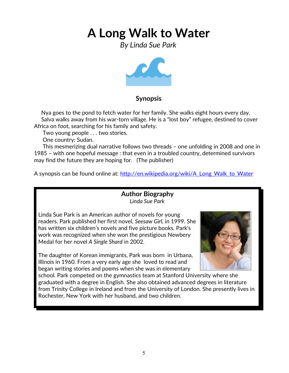*By Linda Sue Park*



### **Synopsis**

 Nya goes to the pond to fetch water for her family. She walks eight hours every day. Salva walks away from his war-torn village. He is a "lost boy" refugee, destined to cover Africa on foot, searching for his family and safety.

Two young people . . . two stories.

One country: Sudan.

 This mesmerizing dual narrative follows two threads – one unfolding in 2008 and one in 1985 – with one hopeful message : that even in a troubled country, determined survivors may find the future they are hoping for. (The publisher)

A synopsis can be found online at: http://en.wikipedia.org/wiki/A Long Walk to Water

### **Author Biography** *Linda Sue Park*

Linda Sue Park is an American author of novels for young readers. Park published her first novel, *Seesaw Girl,* in 1999. She has written six children's novels and five picture books. Park's work was recognized when she won the prestigious Newbery Medal for her novel *A Single Shard* in 2002.

The daughter of Korean immigrants, Park was born in Urbana, Illinois in 1960. From a very early age she loved to read and began writing stories and poems when she was in elementary



school. Park competed on the gymnastics team at Stanford University where she graduated with a degree in English. She also obtained advanced degrees in literature from Trinity College in Ireland and from the University of London. She presently lives in Rochester, New York with her husband, and two children.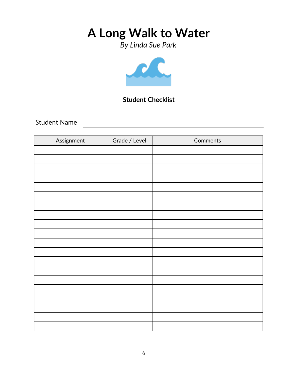*By Linda Sue Park*



### **Student Checklist**

Student Name

| Assignment | Grade / Level | Comments |
|------------|---------------|----------|
|            |               |          |
|            |               |          |
|            |               |          |
|            |               |          |
|            |               |          |
|            |               |          |
|            |               |          |
|            |               |          |
|            |               |          |
|            |               |          |
|            |               |          |
|            |               |          |
|            |               |          |
|            |               |          |
|            |               |          |
|            |               |          |
|            |               |          |
|            |               |          |
|            |               |          |
|            |               |          |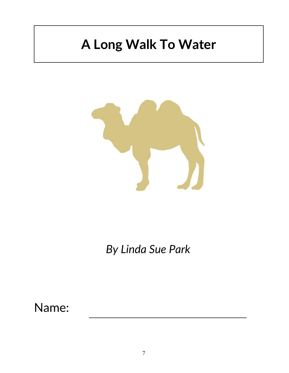

*By Linda Sue Park*

Name: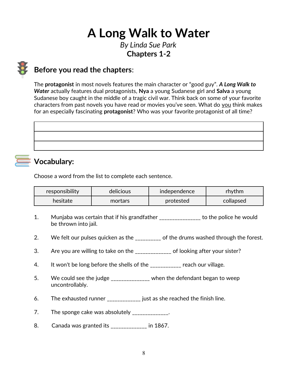*By Linda Sue Park* **Chapters 1-2**

### **Before you read the chapters**:

The **protagonist** in most novels features the main character or "good guy". *A Long Walk to Water* actually features dual protagonists, **Nya** a young Sudanese girl and **Salva** a young Sudanese boy caught in the middle of a tragic civil war. Think back on some of your favorite characters from past novels you have read or movies you've seen. What do you think makes for an especially fascinating **protagonist**? Who was your favorite protagonist of all time?

# **Vocabulary:**

Choose a word from the list to complete each sentence.

| responsibility | delicious | independence | rhythm    |
|----------------|-----------|--------------|-----------|
| hesitate       | mortars   | protested    | collapsed |

- 1. Munjaba was certain that if his grandfather \_\_\_\_\_\_\_\_\_\_\_\_\_\_\_\_ to the police he would be thrown into jail.
- 2. We felt our pulses quicken as the \_\_\_\_\_\_\_\_\_ of the drums washed through the forest.
- 3. Are you are willing to take on the \_\_\_\_\_\_\_\_\_\_\_\_\_\_ of looking after your sister?
- 4. It won't be long before the shells of the \_\_\_\_\_\_\_\_\_\_\_ reach our village.
- 5. We could see the judge \_\_\_\_\_\_\_\_\_\_\_\_\_ when the defendant began to weep uncontrollably.
- 6. The exhausted runner \_\_\_\_\_\_\_\_\_\_\_\_\_ just as she reached the finish line.
- 7. The sponge cake was absolutely \_\_\_\_\_\_\_\_\_\_\_\_\_.
- 8. Canada was granted its \_\_\_\_\_\_\_\_\_\_\_\_\_\_ in 1867.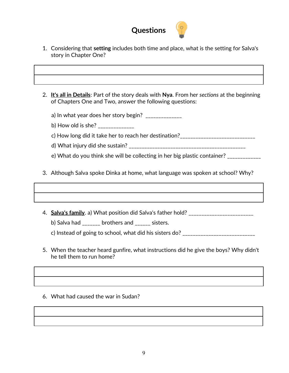

- 1. Considering that **setting** includes both time and place, what is the setting for Salva's story in Chapter One?
- 2. **It's all in Details**: Part of the story deals with **Nya**. From her *sections* at the beginning of Chapters One and Two, answer the following questions:
	- a) In what year does her story begin?  $\frac{1}{2}$
	- b) How old is she? \_\_\_\_\_\_\_\_\_\_\_\_\_\_\_
	- c) How long did it take her to reach her destination?\_\_\_\_\_\_\_\_\_\_\_\_\_\_\_\_\_\_\_\_\_\_\_\_\_\_\_\_\_
	- d) What injury did she sustain? \_\_\_\_\_\_\_\_\_\_\_\_\_\_\_\_\_\_\_\_\_\_\_\_\_\_\_\_\_\_\_\_\_\_\_\_\_\_\_\_\_\_\_\_\_
	- e) What do you think she will be collecting in her big plastic container?
- 3. Although Salva spoke Dinka at home, what language was spoken at school? Why?
- 4. **Salva's family**. a) What position did Salva's father hold? \_\_\_\_\_\_\_\_\_\_\_\_\_\_\_\_\_\_\_\_\_\_\_\_

b) Salva had \_\_\_\_\_\_\_ brothers and \_\_\_\_\_\_ sisters.

c) Instead of going to school, what did his sisters do?  $\frac{1}{2}$ 

- 5. When the teacher heard gunfire, what instructions did he give the boys? Why didn't he tell them to run home?
- 6. What had caused the war in Sudan?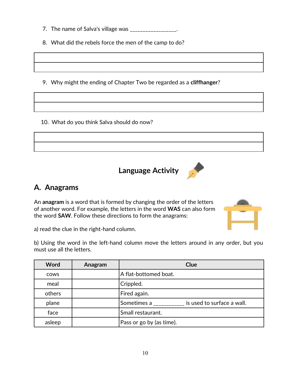- 7. The name of Salva's village was \_\_\_\_\_\_\_\_\_\_\_\_\_\_\_\_\_.
- 8. What did the rebels force the men of the camp to do?
- 9. Why might the ending of Chapter Two be regarded as a **cliffhanger**?
- 10. What do you think Salva should do now?





### **A. Anagrams**

An **anagram** is a word that is formed by changing the order of the letters of another word. For example, the letters in the word **WAS** can also form the word **SAW**. Follow these directions to form the anagrams:



a) read the clue in the right-hand column.

b) Using the word in the left-hand column move the letters around in any order, but you must use all the letters.

| Word        | Anagram | <b>Clue</b>                               |
|-------------|---------|-------------------------------------------|
| <b>COWS</b> |         | A flat-bottomed boat.                     |
| meal        |         | Crippled.                                 |
| others      |         | Fired again.                              |
| plane       |         | Sometimes a<br>is used to surface a wall. |
| face        |         | Small restaurant.                         |
| asleep      |         | Pass or go by (as time).                  |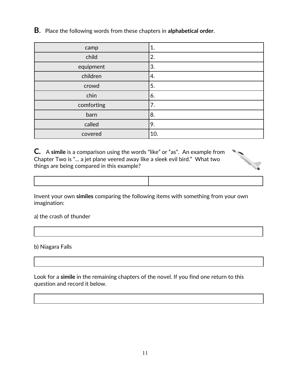**B**. Place the following words from these chapters in **alphabetical order**.

| camp       | 1.  |
|------------|-----|
| child      | 2.  |
| equipment  | 'ვ. |
| children   | 4.  |
| crowd      | 5.  |
| chin       | 6.  |
| comforting | 7.  |
| barn       | '8. |
| called     | 9.  |
| covered    | 10. |

**C.** A **simile** is a comparison using the words "like" or "as". An example from Chapter Two is "... a jet plane veered away like a sleek evil bird." What two things are being compared in this example?



| ,我们也不会不会不会。""我们的,我们也不会不会不会。""我们的,我们也不会不会不会不会。""我们的,我们也不会不会不会不会。""我们的,我们也不会不会不会不会 |  |
|----------------------------------------------------------------------------------|--|
|                                                                                  |  |
|                                                                                  |  |
|                                                                                  |  |
|                                                                                  |  |
|                                                                                  |  |
|                                                                                  |  |

Invent your own **similes** comparing the following items with something from your own imagination:

a) the crash of thunder

b) Niagara Falls

Look for a **simile** in the remaining chapters of the novel. If you find one return to this question and record it below.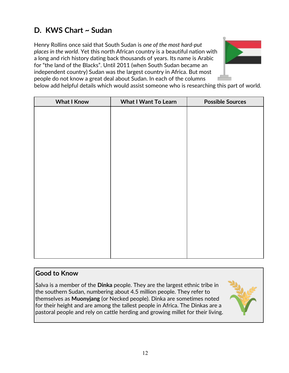# **D. KWS Chart ~ Sudan**

Henry Rollins once said that South Sudan is *one of the most hard-put places in the world*. Yet this north African country is a beautiful nation with a long and rich history dating back thousands of years. Its name is Arabic for "the land of the Blacks". Until 2011 (when South Sudan became an independent country) Sudan was the largest country in Africa. But most people do not know a great deal about Sudan. In each of the columns



below add helpful details which would assist someone who is researching this part of world.

| <b>What I Know</b> | <b>What I Want To Learn</b> | <b>Possible Sources</b> |
|--------------------|-----------------------------|-------------------------|
|                    |                             |                         |
|                    |                             |                         |
|                    |                             |                         |
|                    |                             |                         |
|                    |                             |                         |
|                    |                             |                         |
|                    |                             |                         |
|                    |                             |                         |
|                    |                             |                         |
|                    |                             |                         |
|                    |                             |                         |
|                    |                             |                         |
|                    |                             |                         |
|                    |                             |                         |
|                    |                             |                         |
|                    |                             |                         |

### **Good to Know**

Salva is a member of the **Dinka** people. They are the largest ethnic tribe in the southern Sudan, numbering about 4.5 million people. They refer to themselves as **Muonyjang** (or Necked people). Dinka are sometimes noted for their height and are among the tallest people in Africa. The Dinkas are a pastoral people and rely on cattle herding and growing millet for their living.

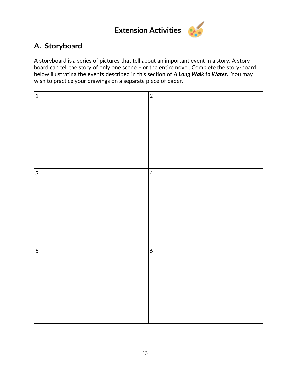

### **A. Storyboard**

A storyboard is a series of pictures that tell about an important event in a story. A storyboard can tell the story of only one scene – or the entire novel. Complete the story-board below illustrating the events described in this section of *A Long Walk to Water.* You may wish to practice your drawings on a separate piece of paper.